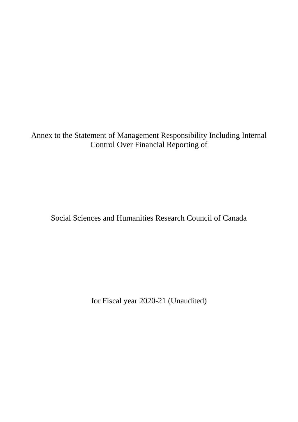Annex to the Statement of Management Responsibility Including Internal Control Over Financial Reporting of

Social Sciences and Humanities Research Council of Canada

for Fiscal year 2020-21 (Unaudited)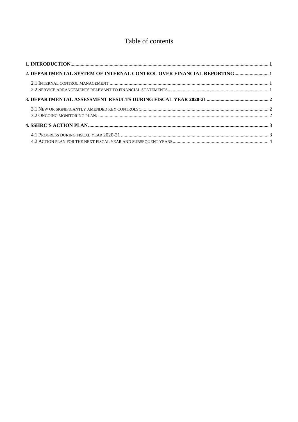# Table of contents

| 2. DEPARTMENTAL SYSTEM OF INTERNAL CONTROL OVER FINANCIAL REPORTING 1 |  |
|-----------------------------------------------------------------------|--|
|                                                                       |  |
|                                                                       |  |
|                                                                       |  |
|                                                                       |  |
|                                                                       |  |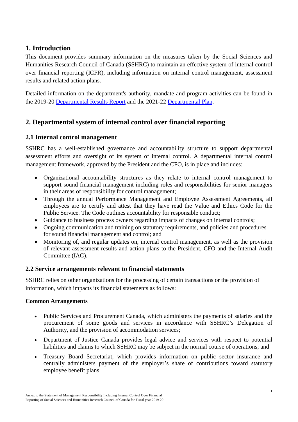## <span id="page-2-0"></span>**1. Introduction**

This document provides summary information on the measures taken by the Social Sciences and Humanities Research Council of Canada (SSHRC) to maintain an effective system of internal control over financial reporting (ICFR), including information on internal control management, assessment results and related action plans.

Detailed information on the department's authority, mandate and program activities can be found in the 2019-20 [Departmental Results Report](https://www.sshrc-crsh.gc.ca/about-au_sujet/publications/drr/2019-2020/drr-rrm-eng.aspx) and the 2021-22 [Departmental Plan.](https://www.sshrc-crsh.gc.ca/about-au_sujet/publications/dp/2021-2022/dp-eng.aspx)

# <span id="page-2-1"></span>**2. Departmental system of internal control over financial reporting**

## <span id="page-2-2"></span>**2.1 Internal control management**

SSHRC has a well-established governance and accountability structure to support departmental assessment efforts and oversight of its system of internal control. A departmental internal control management framework, approved by the President and the CFO, is in place and includes:

- Organizational accountability structures as they relate to internal control management to support sound financial management including roles and responsibilities for senior managers in their areas of responsibility for control management;
- Through the annual Performance Management and Employee Assessment Agreements, all employees are to certify and attest that they have read the Value and Ethics Code for the Public Service. The Code outlines accountability for responsible conduct;
- Guidance to business process owners regarding impacts of changes on internal controls;
- Ongoing communication and training on statutory requirements, and policies and procedures for sound financial management and control; and
- Monitoring of, and regular updates on, internal control management, as well as the provision of relevant assessment results and action plans to the President, CFO and the Internal Audit Committee (IAC).

## <span id="page-2-3"></span>**2.2 Service arrangements relevant to financial statements**

SSHRC relies on other organizations for the processing of certain transactions or the provision of information, which impacts its financial statements as follows:

## **Common Arrangements**

- Public Services and Procurement Canada, which administers the payments of salaries and the procurement of some goods and services in accordance with SSHRC's Delegation of Authority, and the provision of accommodation services;
- Department of Justice Canada provides legal advice and services with respect to potential liabilities and claims to which SSHRC may be subject in the normal course of operations; and
- Treasury Board Secretariat, which provides information on public sector insurance and centrally administers payment of the employer's share of contributions toward statutory employee benefit plans.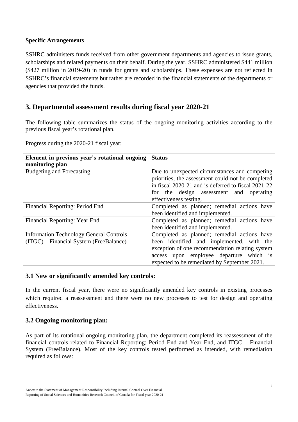#### **Specific Arrangements**

SSHRC administers funds received from other government departments and agencies to issue grants, scholarships and related payments on their behalf. During the year, SSHRC administered \$441 million (\$427 million in 2019-20) in funds for grants and scholarships. These expenses are not reflected in SSHRC's financial statements but rather are recorded in the financial statements of the departments or agencies that provided the funds.

## <span id="page-3-0"></span>**3. Departmental assessment results during fiscal year 2020-21**

The following table summarizes the status of the ongoing monitoring activities according to the previous fiscal year's rotational plan.

Progress during the 2020-21 fiscal year:

| Element in previous year's rotational ongoing  | <b>Status</b>                                       |  |  |
|------------------------------------------------|-----------------------------------------------------|--|--|
| monitoring plan                                |                                                     |  |  |
| <b>Budgeting and Forecasting</b>               | Due to unexpected circumstances and competing       |  |  |
|                                                | priorities, the assessment could not be completed   |  |  |
|                                                | in fiscal 2020-21 and is deferred to fiscal 2021-22 |  |  |
|                                                | for the design assessment and operating             |  |  |
|                                                | effectiveness testing.                              |  |  |
| Financial Reporting: Period End                | Completed as planned; remedial actions have         |  |  |
|                                                | been identified and implemented.                    |  |  |
| Financial Reporting: Year End                  | Completed as planned; remedial actions have         |  |  |
|                                                | been identified and implemented.                    |  |  |
| <b>Information Technology General Controls</b> | Completed as planned; remedial actions have         |  |  |
| (ITGC) – Financial System (FreeBalance)        | been identified and implemented, with the           |  |  |
|                                                | exception of one recommendation relating system     |  |  |
|                                                | access upon employee departure which is             |  |  |
|                                                | expected to be remediated by September 2021.        |  |  |

#### <span id="page-3-1"></span>**3.1 New or significantly amended key controls:**

In the current fiscal year, there were no significantly amended key controls in existing processes which required a reassessment and there were no new processes to test for design and operating effectiveness.

### <span id="page-3-2"></span>**3.2 Ongoing monitoring plan:**

As part of its rotational ongoing monitoring plan, the department completed its reassessment of the financial controls related to Financial Reporting: Period End and Year End, and ITGC – Financial System (FreeBalance). Most of the key controls tested performed as intended, with remediation required as follows: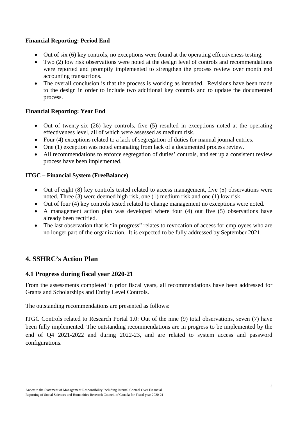### **Financial Reporting: Period End**

- Out of six (6) key controls, no exceptions were found at the operating effectiveness testing.
- Two (2) low risk observations were noted at the design level of controls and recommendations were reported and promptly implemented to strengthen the process review over month end accounting transactions.
- The overall conclusion is that the process is working as intended. Revisions have been made to the design in order to include two additional key controls and to update the documented process.

### **Financial Reporting: Year End**

- Out of twenty-six (26) key controls, five (5) resulted in exceptions noted at the operating effectiveness level, all of which were assessed as medium risk.
- Four (4) exceptions related to a lack of segregation of duties for manual journal entries.
- One (1) exception was noted emanating from lack of a documented process review.
- All recommendations to enforce segregation of duties' controls, and set up a consistent review process have been implemented.

### **ITGC – Financial System (FreeBalance)**

- $\bullet$  Out of eight (8) key controls tested related to access management, five (5) observations were noted. Three (3) were deemed high risk, one (1) medium risk and one (1) low risk.
- Out of four (4) key controls tested related to change management no exceptions were noted.
- A management action plan was developed where four (4) out five (5) observations have already been rectified.
- The last observation that is "in progress" relates to revocation of access for employees who are no longer part of the organization. It is expected to be fully addressed by September 2021.

## <span id="page-4-0"></span>**4. SSHRC's Action Plan**

### <span id="page-4-1"></span>**4.1 Progress during fiscal year 2020-21**

From the assessments completed in prior fiscal years, all recommendations have been addressed for Grants and Scholarships and Entity Level Controls.

The outstanding recommendations are presented as follows:

<span id="page-4-2"></span>ITGC Controls related to Research Portal 1.0: Out of the nine (9) total observations, seven (7) have been fully implemented. The outstanding recommendations are in progress to be implemented by the end of Q4 2021-2022 and during 2022-23, and are related to system access and password configurations.